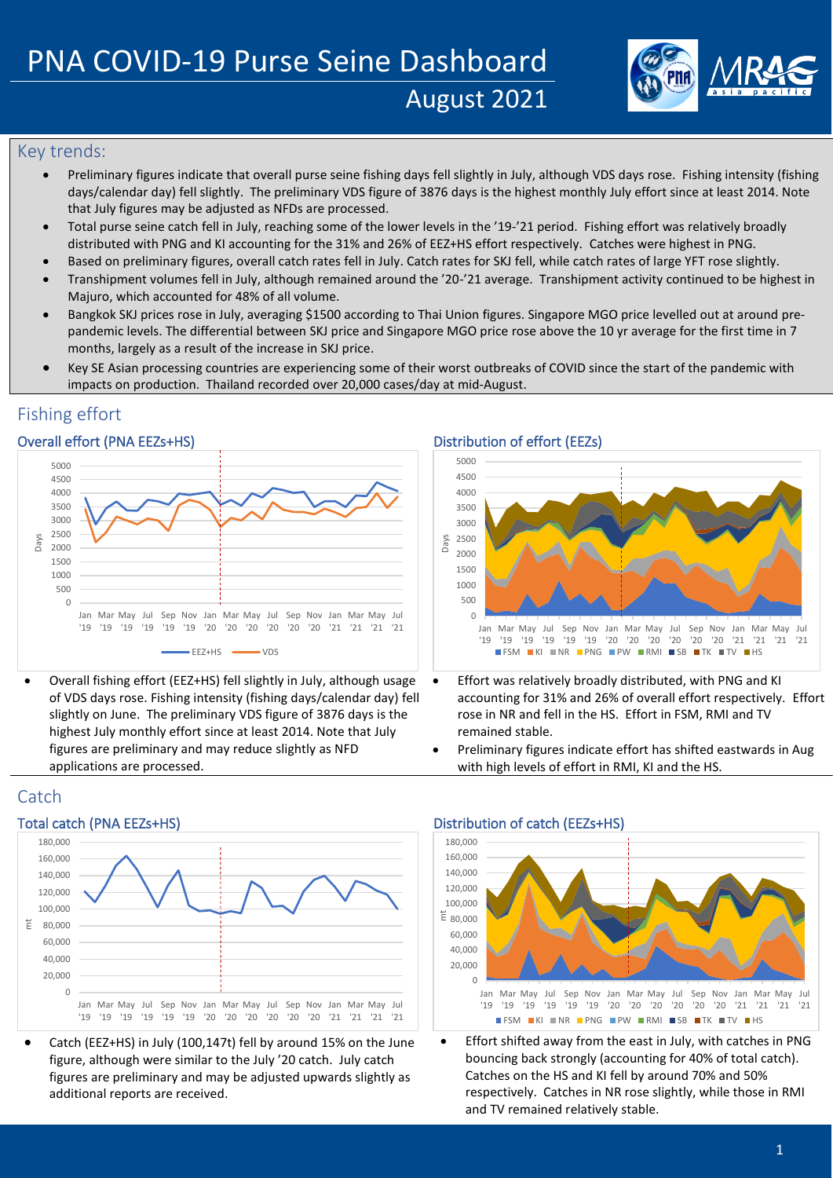

## Key trends:

- Preliminary figures indicate that overall purse seine fishing days fell slightly in July, although VDS days rose. Fishing intensity (fishing days/calendar day) fell slightly. The preliminary VDS figure of 3876 days is the highest monthly July effort since at least 2014. Note that July figures may be adjusted as NFDs are processed.
- Total purse seine catch fell in July, reaching some of the lower levels in the '19-'21 period. Fishing effort was relatively broadly distributed with PNG and KI accounting for the 31% and 26% of EEZ+HS effort respectively. Catches were highest in PNG.
- Based on preliminary figures, overall catch rates fell in July. Catch rates for SKJ fell, while catch rates of large YFT rose slightly.
- Transhipment volumes fell in July, although remained around the '20-'21 average. Transhipment activity continued to be highest in Majuro, which accounted for 48% of all volume.
- Bangkok SKJ prices rose in July, averaging \$1500 according to Thai Union figures. Singapore MGO price levelled out at around prepandemic levels. The differential between SKJ price and Singapore MGO price rose above the 10 yr average for the first time in 7 months, largely as a result of the increase in SKJ price.
- Key SE Asian processing countries are experiencing some of their worst outbreaks of COVID since the start of the pandemic with impacts on production. Thailand recorded over 20,000 cases/day at mid-August.

# Fishing effort

## Overall effort (PNA EEZs+HS) Distribution of effort (EEZs)



• Overall fishing effort (EEZ+HS) fell slightly in July, although usage of VDS days rose. Fishing intensity (fishing days/calendar day) fell slightly on June. The preliminary VDS figure of 3876 days is the highest July monthly effort since at least 2014. Note that July figures are preliminary and may reduce slightly as NFD applications are processed.



- Effort was relatively broadly distributed, with PNG and KI accounting for 31% and 26% of overall effort respectively. Effort rose in NR and fell in the HS. Effort in FSM, RMI and TV remained stable.
- Preliminary figures indicate effort has shifted eastwards in Aug with high levels of effort in RMI, KI and the HS.

# **Catch**



• Catch (EEZ+HS) in July (100,147t) fell by around 15% on the June figure, although were similar to the July '20 catch. July catch figures are preliminary and may be adjusted upwards slightly as additional reports are received.

### Total catch (PNA EEZs+HS) Total catch (EEZs+HS) Distribution of catch (EEZs+HS)



• Effort shifted away from the east in July, with catches in PNG bouncing back strongly (accounting for 40% of total catch). Catches on the HS and KI fell by around 70% and 50% respectively. Catches in NR rose slightly, while those in RMI and TV remained relatively stable.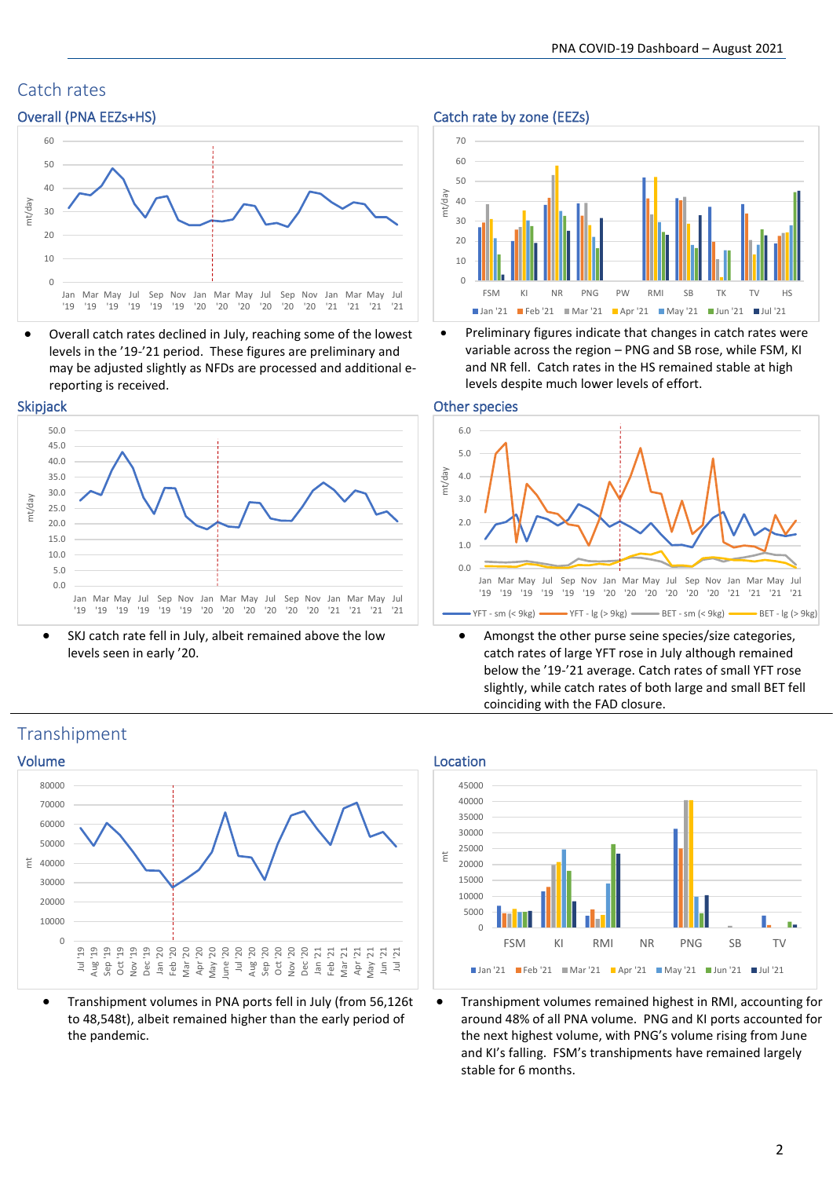# Catch rates



• Overall catch rates declined in July, reaching some of the lowest levels in the '19-'21 period. These figures are preliminary and may be adjusted slightly as NFDs are processed and additional ereporting is received.





SKJ catch rate fell in July, albeit remained above the low levels seen in early '20.

### Overall (PNA EEZs+HS) Catch rate by zone (EEZs)



• Preliminary figures indicate that changes in catch rates were variable across the region – PNG and SB rose, while FSM, KI and NR fell. Catch rates in the HS remained stable at high levels despite much lower levels of effort.

### Other species



• Amongst the other purse seine species/size categories, catch rates of large YFT rose in July although remained below the '19-'21 average. Catch rates of small YFT rose slightly, while catch rates of both large and small BET fell coinciding with the FAD closure.

# Transhipment



• Transhipment volumes in PNA ports fell in July (from 56,126t to 48,548t), albeit remained higher than the early period of the pandemic.



• Transhipment volumes remained highest in RMI, accounting for around 48% of all PNA volume. PNG and KI ports accounted for the next highest volume, with PNG's volume rising from June and KI's falling. FSM's transhipments have remained largely stable for 6 months.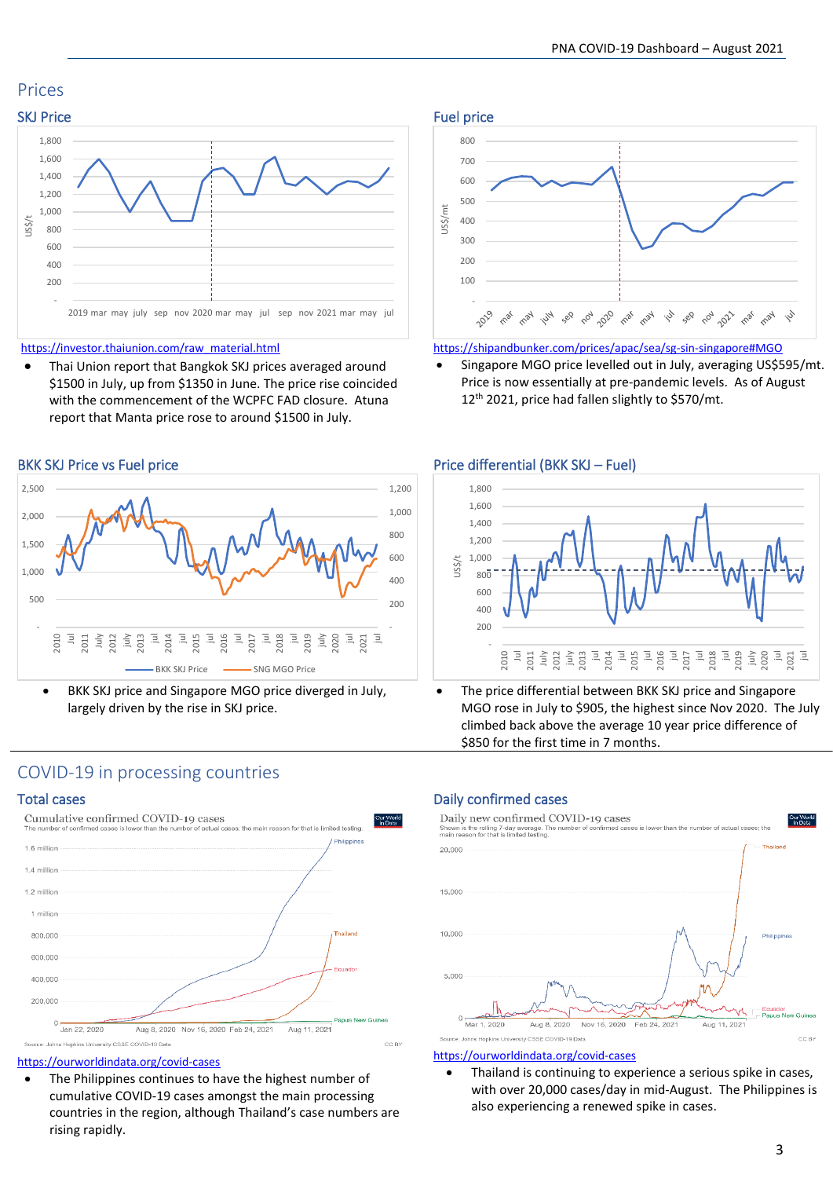## Prices



[https://investor.thaiunion.com/raw\\_material.html](https://investor.thaiunion.com/raw_material.html)

Thai Union report that Bangkok SKJ prices averaged around \$1500 in July, up from \$1350 in June. The price rise coincided with the commencement of the WCPFC FAD closure. Atuna report that Manta price rose to around \$1500 in July.



BKK SKJ price and Singapore MGO price diverged in July, largely driven by the rise in SKJ price.

## Fuel price 800 700 600 500 US\$/mt 400 300  $200$  $10<sub>0</sub>$  see cot goo cas cast is see cot got cast cast is

<https://shipandbunker.com/prices/apac/sea/sg-sin-singapore#MGO>

• Singapore MGO price levelled out in July, averaging US\$595/mt. Price is now essentially at pre-pandemic levels. As of August 12<sup>th</sup> 2021, price had fallen slightly to \$570/mt.



The price differential between BKK SKJ price and Singapore MGO rose in July to \$905, the highest since Nov 2020. The July climbed back above the average 10 year price difference of \$850 for the first time in 7 months.

## COVID-19 in processing countries



### <https://ourworldindata.org/covid-cases>

• The Philippines continues to have the highest number of cumulative COVID-19 cases amongst the main processing countries in the region, although Thailand's case numbers are rising rapidly.

### Total cases **Daily confirmed cases** Daily confirmed cases



### <https://ourworldindata.org/covid-cases>

• Thailand is continuing to experience a serious spike in cases, with over 20,000 cases/day in mid-August. The Philippines is also experiencing a renewed spike in cases.

3